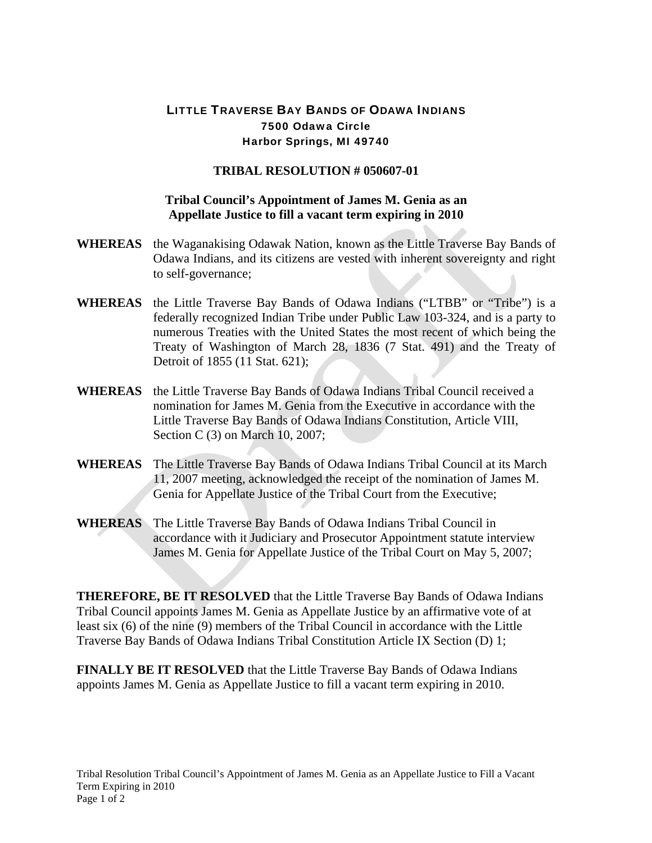## LITTLE TRAVERSE BAY BANDS OF ODAWA INDIANS 7500 Odawa Circle Harbor Springs, MI 49740

## **TRIBAL RESOLUTION # 050607-01**

## **Tribal Council's Appointment of James M. Genia as an Appellate Justice to fill a vacant term expiring in 2010**

- **WHEREAS** the Waganakising Odawak Nation, known as the Little Traverse Bay Bands of Odawa Indians, and its citizens are vested with inherent sovereignty and right to self-governance;
- **WHEREAS** the Little Traverse Bay Bands of Odawa Indians ("LTBB" or "Tribe") is a federally recognized Indian Tribe under Public Law 103-324, and is a party to numerous Treaties with the United States the most recent of which being the Treaty of Washington of March 28, 1836 (7 Stat. 491) and the Treaty of Detroit of 1855 (11 Stat. 621);
- **WHEREAS** the Little Traverse Bay Bands of Odawa Indians Tribal Council received a nomination for James M. Genia from the Executive in accordance with the Little Traverse Bay Bands of Odawa Indians Constitution, Article VIII, Section C (3) on March 10, 2007;
- **WHEREAS** The Little Traverse Bay Bands of Odawa Indians Tribal Council at its March 11, 2007 meeting, acknowledged the receipt of the nomination of James M. Genia for Appellate Justice of the Tribal Court from the Executive;
- **WHEREAS** The Little Traverse Bay Bands of Odawa Indians Tribal Council in accordance with it Judiciary and Prosecutor Appointment statute interview James M. Genia for Appellate Justice of the Tribal Court on May 5, 2007;

**THEREFORE, BE IT RESOLVED** that the Little Traverse Bay Bands of Odawa Indians Tribal Council appoints James M. Genia as Appellate Justice by an affirmative vote of at least six (6) of the nine (9) members of the Tribal Council in accordance with the Little Traverse Bay Bands of Odawa Indians Tribal Constitution Article IX Section (D) 1;

**FINALLY BE IT RESOLVED** that the Little Traverse Bay Bands of Odawa Indians appoints James M. Genia as Appellate Justice to fill a vacant term expiring in 2010.